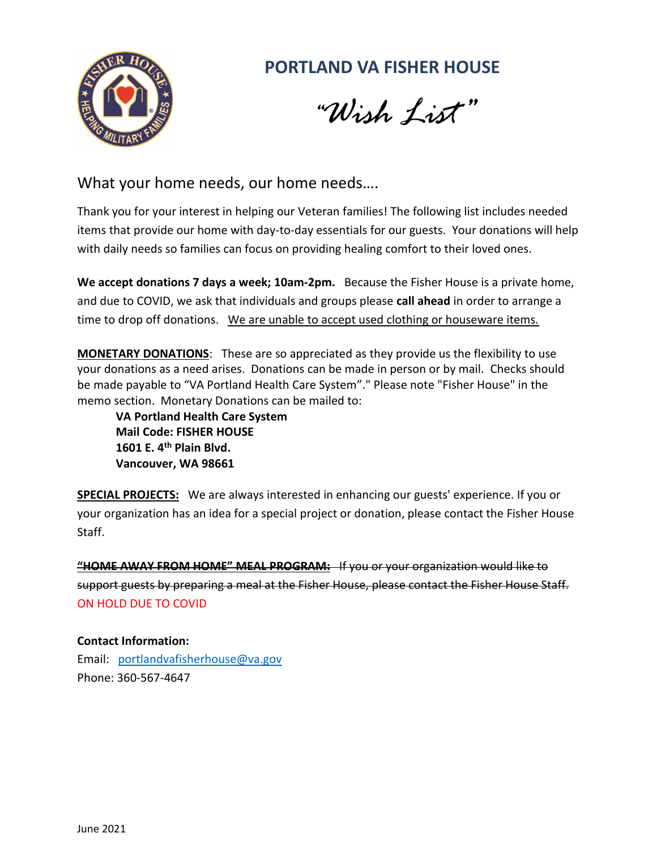

## **PORTLAND VA FISHER HOUSE**

 *"Wish List"*

What your home needs, our home needs….

Thank you for your interest in helping our Veteran families! The following list includes needed items that provide our home with day-to-day essentials for our guests. Your donations will help with daily needs so families can focus on providing healing comfort to their loved ones.

**We accept donations 7 days a week; 10am-2pm.** Because the Fisher House is a private home, and due to COVID, we ask that individuals and groups please **call ahead** in order to arrange a time to drop off donations. We are unable to accept used clothing or houseware items.

**MONETARY DONATIONS**: These are so appreciated as they provide us the flexibility to use your donations as a need arises. Donations can be made in person or by mail. Checks should be made payable to "VA Portland Health Care System"." Please note "Fisher House" in the memo section. Monetary Donations can be mailed to:

**VA Portland Health Care System Mail Code: FISHER HOUSE 1601 E. 4th Plain Blvd. Vancouver, WA 98661**

**SPECIAL PROJECTS:** We are always interested in enhancing our guests' experience. If you or your organization has an idea for a special project or donation, please contact the Fisher House Staff.

**"HOME AWAY FROM HOME" MEAL PROGRAM:** If you or your organization would like to support guests by preparing a meal at the Fisher House, please contact the Fisher House Staff. ON HOLD DUE TO COVID

## **Contact Information:**

Email: [portlandvafisherhouse@va.gov](mailto:portlandvafisherhouse@va.gov) Phone: 360-567-4647